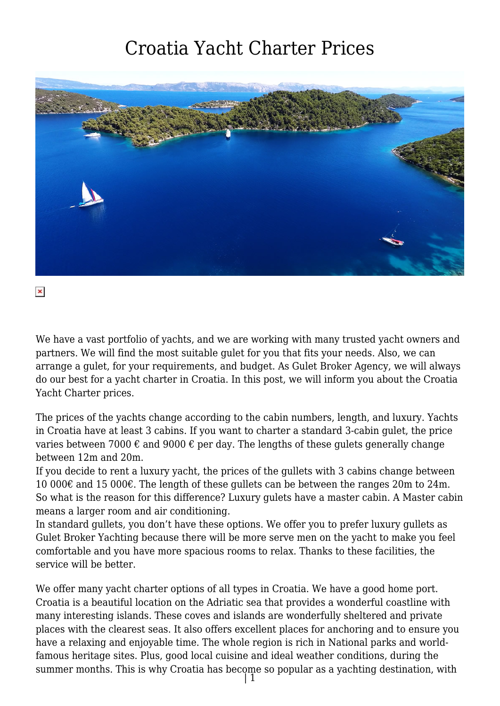## Croatia Yacht Charter Prices



 $\pmb{\times}$ 

We have a vast portfolio of yachts, and we are working with many trusted yacht owners and partners. We will find the most suitable gulet for you that fits your needs. Also, we can arrange a gulet, for your requirements, and budget. As Gulet Broker Agency, we will always do our best for a yacht charter in Croatia. In this post, we will inform you about the Croatia Yacht Charter prices.

The prices of the yachts change according to the cabin numbers, length, and luxury. Yachts in Croatia have at least 3 cabins. If you want to charter a standard 3-cabin gulet, the price varies between 7000  $\epsilon$  and 9000  $\epsilon$  per day. The lengths of these gulets generally change between 12m and 20m.

If you decide to rent a luxury yacht, the prices of the gullets with 3 cabins change between 10 000€ and 15 000€. The length of these gullets can be between the ranges 20m to 24m. So what is the reason for this difference? Luxury gulets have a master cabin. A Master cabin means a larger room and air conditioning.

In standard gullets, you don't have these options. We offer you to prefer luxury gullets as Gulet Broker Yachting because there will be more serve men on the yacht to make you feel comfortable and you have more spacious rooms to relax. Thanks to these facilities, the service will be better.

We offer many yacht charter options of all types in Croatia. We have a good home port. Croatia is a beautiful location on the Adriatic sea that provides a wonderful coastline with many interesting islands. These coves and islands are wonderfully sheltered and private places with the clearest seas. It also offers excellent places for anchoring and to ensure you have a relaxing and enjoyable time. The whole region is rich in National parks and worldfamous heritage sites. Plus, good local cuisine and ideal weather conditions, during the summer months. This is why Croatia has become so popular as a yachting destination, with